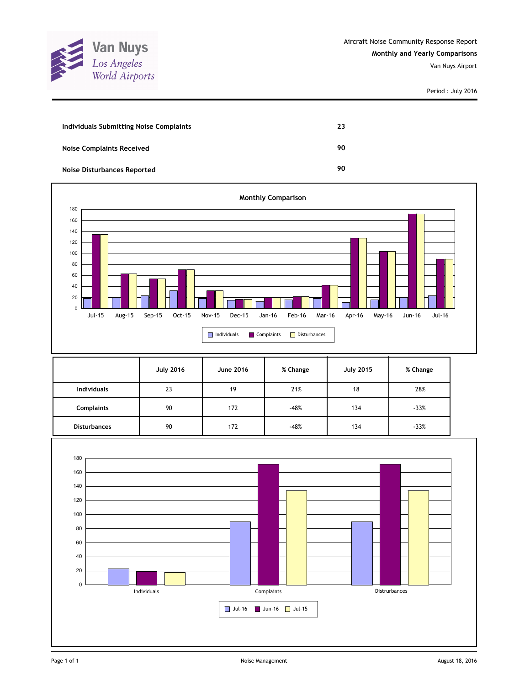

| Individuals Submitting Noise Complaints | 23 |
|-----------------------------------------|----|
| <b>Noise Complaints Received</b>        | 90 |
| <b>Noise Disturbances Reported</b>      | 90 |



|                     | <b>July 2016</b> | <b>June 2016</b> | % Change | <b>July 2015</b> | % Change |
|---------------------|------------------|------------------|----------|------------------|----------|
| <b>Individuals</b>  | 23               | 19               | 21%      | 18               | 28%      |
| <b>Complaints</b>   | 90               | 172              | $-48%$   | 134              | $-33%$   |
| <b>Disturbances</b> | 90               | 172              | $-48%$   | 134              | $-33%$   |

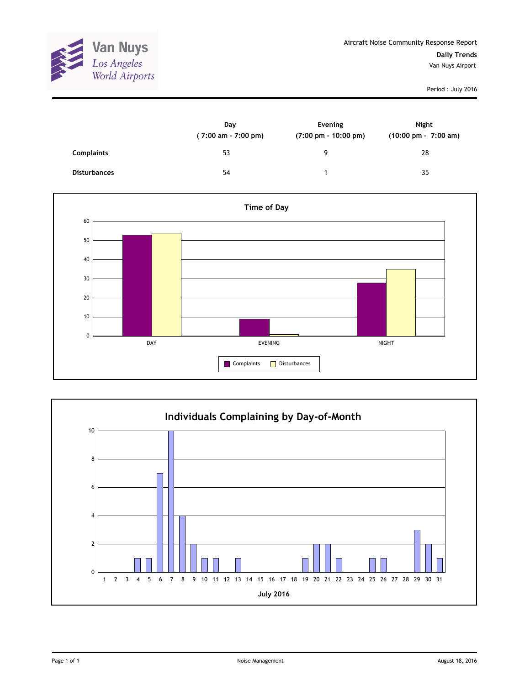

|                     | Day<br>$(7:00 \text{ am} - 7:00 \text{ pm})$ | Evening<br>$(7:00 \text{ pm} - 10:00 \text{ pm})$ | Night<br>$(10:00 \text{ pm} - 7:00 \text{ am})$ |
|---------------------|----------------------------------------------|---------------------------------------------------|-------------------------------------------------|
| <b>Complaints</b>   | 53                                           | 9                                                 | 28                                              |
| <b>Disturbances</b> | 54                                           |                                                   | 35                                              |



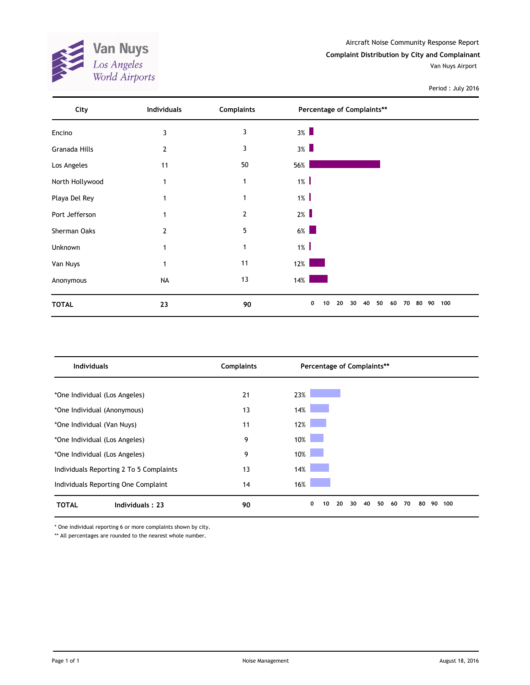**Van Nuys**<br>*Los Angeles*<br>*World Airports* X

Van Nuys Airport

Period : July 2016

| City            | <b>Individuals</b> | <b>Complaints</b> | Percentage of Complaints**                        |           |
|-----------------|--------------------|-------------------|---------------------------------------------------|-----------|
| Encino          | 3                  | 3                 | $3\%$                                             |           |
| Granada Hills   | 2                  | 3                 | $3\%$                                             |           |
| Los Angeles     | 11                 | 50                | 56%                                               |           |
| North Hollywood |                    | $\mathbf 1$       | $1\%$                                             |           |
| Playa Del Rey   |                    | 1                 | $1\%$                                             |           |
| Port Jefferson  |                    | $\mathbf{2}$      | $2\%$                                             |           |
| Sherman Oaks    | 2                  | 5                 | $6\%$                                             |           |
| Unknown         |                    | 1                 | $1\%$                                             |           |
| Van Nuys        |                    | 11                | 12%                                               |           |
| Anonymous       | <b>NA</b>          | 13                | 14%                                               |           |
| <b>TOTAL</b>    | 23                 | 90                | 0<br>20<br>30<br>40<br>50<br>80<br>10<br>60<br>70 | 100<br>90 |

| <b>Individuals</b>                      | <b>Complaints</b> | Percentage of Complaints**                        |           |  |  |  |
|-----------------------------------------|-------------------|---------------------------------------------------|-----------|--|--|--|
|                                         |                   |                                                   |           |  |  |  |
| *One Individual (Los Angeles)           | 21                | 23%                                               |           |  |  |  |
| *One Individual (Anonymous)             | 13                | 14%                                               |           |  |  |  |
| *One Individual (Van Nuys)              | 11                | 12%                                               |           |  |  |  |
| *One Individual (Los Angeles)           | 9                 | 10%                                               |           |  |  |  |
| *One Individual (Los Angeles)           | 9                 | 10%                                               |           |  |  |  |
| Individuals Reporting 2 To 5 Complaints | 13                | 14%                                               |           |  |  |  |
| Individuals Reporting One Complaint     | 14                | 16%                                               |           |  |  |  |
| Individuals: 23<br><b>TOTAL</b>         | 90                | 0<br>20<br>30<br>40<br>50<br>70<br>10<br>80<br>60 | 90<br>100 |  |  |  |

\* One individual reporting 6 or more complaints shown by city.

\*\* All percentages are rounded to the nearest whole number.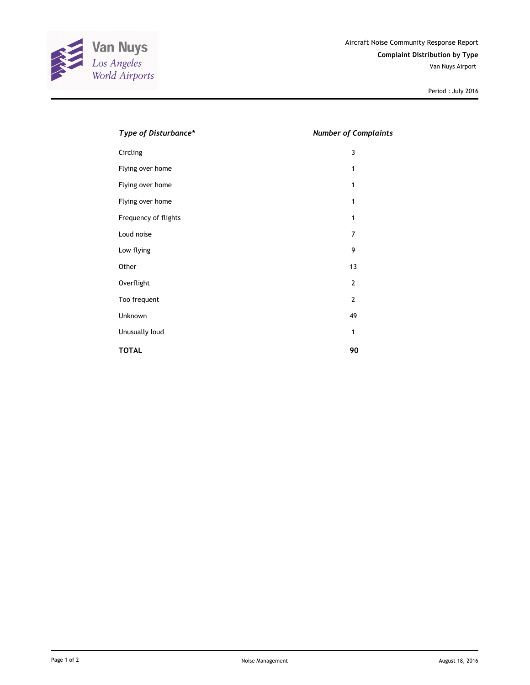

| Type of Disturbance* | <b>Number of Complaints</b> |
|----------------------|-----------------------------|
| Circling             | 3                           |
| Flying over home     | 1                           |
| Flying over home     | 1                           |
| Flying over home     | 1                           |
| Frequency of flights | 1                           |
| Loud noise           | 7                           |
| Low flying           | 9                           |
| Other                | 13                          |
| Overflight           | $\overline{2}$              |
| Too frequent         | $\overline{2}$              |
| Unknown              | 49                          |
| Unusually loud       | 1                           |
| <b>TOTAL</b>         | 90                          |
|                      |                             |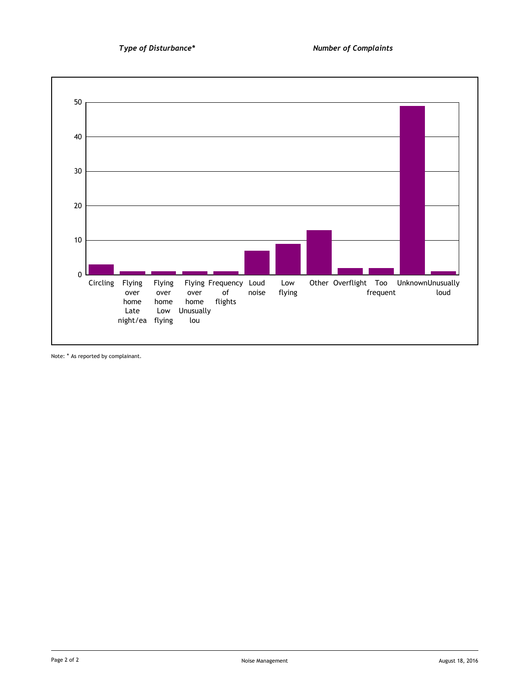

Note: \* As reported by complainant.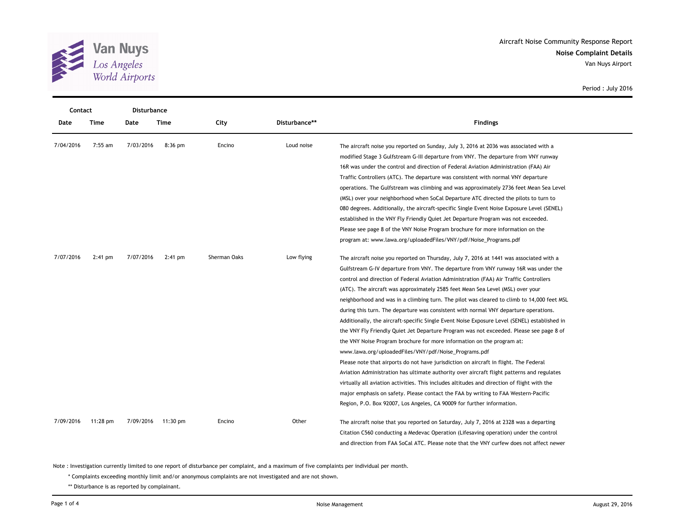

| Contact   |           | Disturbance |                    |              |               |                                                                                              |  |  |
|-----------|-----------|-------------|--------------------|--------------|---------------|----------------------------------------------------------------------------------------------|--|--|
| Date      | Time      | Date        | Time               | City         | Disturbance** | <b>Findings</b>                                                                              |  |  |
| 7/04/2016 | $7:55$ am | 7/03/2016   | $8:36$ pm          | Encino       | Loud noise    | The aircraft noise you reported on Sunday, July 3, 2016 at 2036 was associated with a        |  |  |
|           |           |             |                    |              |               | modified Stage 3 Gulfstream G-III departure from VNY. The departure from VNY runway          |  |  |
|           |           |             |                    |              |               | 16R was under the control and direction of Federal Aviation Administration (FAA) Air         |  |  |
|           |           |             |                    |              |               | Traffic Controllers (ATC). The departure was consistent with normal VNY departure            |  |  |
|           |           |             |                    |              |               | operations. The Gulfstream was climbing and was approximately 2736 feet Mean Sea Level       |  |  |
|           |           |             |                    |              |               | (MSL) over your neighborhood when SoCal Departure ATC directed the pilots to turn to         |  |  |
|           |           |             |                    |              |               | 080 degrees. Additionally, the aircraft-specific Single Event Noise Exposure Level (SENEL)   |  |  |
|           |           |             |                    |              |               | established in the VNY Fly Friendly Quiet Jet Departure Program was not exceeded.            |  |  |
|           |           |             |                    |              |               | Please see page 8 of the VNY Noise Program brochure for more information on the              |  |  |
|           |           |             |                    |              |               | program at: www.lawa.org/uploadedFiles/VNY/pdf/Noise_Programs.pdf                            |  |  |
| 7/07/2016 | $2:41$ pm | 7/07/2016   | $2:41$ pm          | Sherman Oaks | Low flying    | The aircraft noise you reported on Thursday, July 7, 2016 at 1441 was associated with a      |  |  |
|           |           |             |                    |              |               | Gulfstream G-IV departure from VNY. The departure from VNY runway 16R was under the          |  |  |
|           |           |             |                    |              |               | control and direction of Federal Aviation Administration (FAA) Air Traffic Controllers       |  |  |
|           |           |             |                    |              |               | (ATC). The aircraft was approximately 2585 feet Mean Sea Level (MSL) over your               |  |  |
|           |           |             |                    |              |               | neighborhood and was in a climbing turn. The pilot was cleared to climb to 14,000 feet MSL   |  |  |
|           |           |             |                    |              |               | during this turn. The departure was consistent with normal VNY departure operations.         |  |  |
|           |           |             |                    |              |               | Additionally, the aircraft-specific Single Event Noise Exposure Level (SENEL) established in |  |  |
|           |           |             |                    |              |               | the VNY Fly Friendly Quiet Jet Departure Program was not exceeded. Please see page 8 of      |  |  |
|           |           |             |                    |              |               | the VNY Noise Program brochure for more information on the program at:                       |  |  |
|           |           |             |                    |              |               | www.lawa.org/uploadedFiles/VNY/pdf/Noise_Programs.pdf                                        |  |  |
|           |           |             |                    |              |               | Please note that airports do not have jurisdiction on aircraft in flight. The Federal        |  |  |
|           |           |             |                    |              |               | Aviation Administration has ultimate authority over aircraft flight patterns and regulates   |  |  |
|           |           |             |                    |              |               | virtually all aviation activities. This includes altitudes and direction of flight with the  |  |  |
|           |           |             |                    |              |               | major emphasis on safety. Please contact the FAA by writing to FAA Western-Pacific           |  |  |
|           |           |             |                    |              |               | Region, P.O. Box 92007, Los Angeles, CA 90009 for further information.                       |  |  |
| 7/09/2016 | 11:28 pm  |             | 7/09/2016 11:30 pm | Encino       | Other         | The aircraft noise that you reported on Saturday, July 7, 2016 at 2328 was a departing       |  |  |
|           |           |             |                    |              |               | Citation C560 conducting a Medevac Operation (Lifesaving operation) under the control        |  |  |
|           |           |             |                    |              |               | and direction from FAA SoCal ATC. Please note that the VNY curfew does not affect newer      |  |  |

Note : Investigation currently limited to one report of disturbance per complaint, and a maximum of five complaints per individual per month.

\* Complaints exceeding monthly limit and/or anonymous complaints are not investigated and are not shown.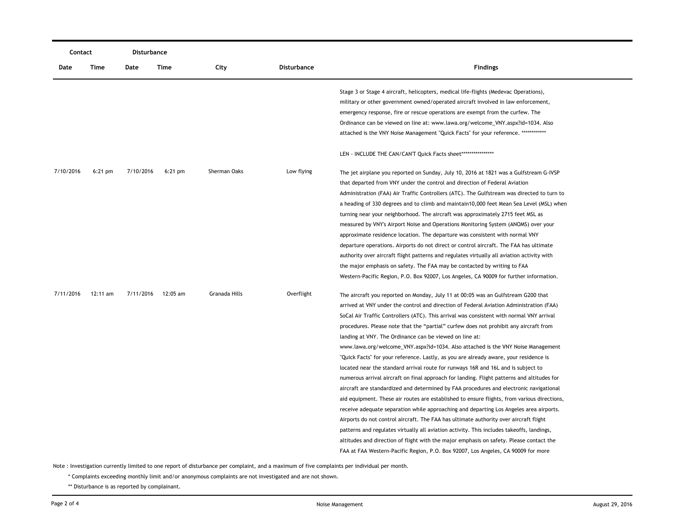| Contact   |            | Disturbance |           |               |                    |                                                                                             |
|-----------|------------|-------------|-----------|---------------|--------------------|---------------------------------------------------------------------------------------------|
| Date      | Time       | Date        | Time      | City          | <b>Disturbance</b> | <b>Findings</b>                                                                             |
|           |            |             |           |               |                    | Stage 3 or Stage 4 aircraft, helicopters, medical life-flights (Medevac Operations),        |
|           |            |             |           |               |                    | military or other government owned/operated aircraft involved in law enforcement,           |
|           |            |             |           |               |                    | emergency response, fire or rescue operations are exempt from the curfew. The               |
|           |            |             |           |               |                    | Ordinance can be viewed on line at: www.lawa.org/welcome_VNY.aspx?id=1034. Also             |
|           |            |             |           |               |                    | attached is the VNY Noise Management "Quick Facts" for your reference. *************        |
|           |            |             |           |               |                    | LEN - INCLUDE THE CAN/CAN'T Quick Facts sheet*****************                              |
| 7/10/2016 | $6:21$ pm  | 7/10/2016   | $6:21$ pm | Sherman Oaks  | Low flying         | The jet airplane you reported on Sunday, July 10, 2016 at 1821 was a Gulfstream G-IVSP      |
|           |            |             |           |               |                    | that departed from VNY under the control and direction of Federal Aviation                  |
|           |            |             |           |               |                    | Administration (FAA) Air Traffic Controllers (ATC). The Gulfstream was directed to turn to  |
|           |            |             |           |               |                    | a heading of 330 degrees and to climb and maintain10,000 feet Mean Sea Level (MSL) when     |
|           |            |             |           |               |                    | turning near your neighborhood. The aircraft was approximately 2715 feet MSL as             |
|           |            |             |           |               |                    | measured by VNY's Airport Noise and Operations Monitoring System (ANOMS) over your          |
|           |            |             |           |               |                    | approximate residence location. The departure was consistent with normal VNY                |
|           |            |             |           |               |                    | departure operations. Airports do not direct or control aircraft. The FAA has ultimate      |
|           |            |             |           |               |                    | authority over aircraft flight patterns and regulates virtually all aviation activity with  |
|           |            |             |           |               |                    | the major emphasis on safety. The FAA may be contacted by writing to FAA                    |
|           |            |             |           |               |                    | Western-Pacific Region, P.O. Box 92007, Los Angeles, CA 90009 for further information.      |
| 7/11/2016 | $12:11$ am | 7/11/2016   | 12:05 am  | Granada Hills | Overflight         | The aircraft you reported on Monday, July 11 at 00:05 was an Gulfstream G200 that           |
|           |            |             |           |               |                    | arrived at VNY under the control and direction of Federal Aviation Administration (FAA)     |
|           |            |             |           |               |                    | SoCal Air Traffic Controllers (ATC). This arrival was consistent with normal VNY arrival    |
|           |            |             |           |               |                    | procedures. Please note that the "partial" curfew does not prohibit any aircraft from       |
|           |            |             |           |               |                    | landing at VNY. The Ordinance can be viewed on line at:                                     |
|           |            |             |           |               |                    | www.lawa.org/welcome_VNY.aspx?id=1034. Also attached is the VNY Noise Management            |
|           |            |             |           |               |                    | "Quick Facts" for your reference. Lastly, as you are already aware, your residence is       |
|           |            |             |           |               |                    | located near the standard arrival route for runways 16R and 16L and is subject to           |
|           |            |             |           |               |                    | numerous arrival aircraft on final approach for landing. Flight patterns and altitudes for  |
|           |            |             |           |               |                    | aircraft are standardized and determined by FAA procedures and electronic navigational      |
|           |            |             |           |               |                    | aid equipment. These air routes are established to ensure flights, from various directions, |
|           |            |             |           |               |                    | receive adequate separation while approaching and departing Los Angeles area airports.      |
|           |            |             |           |               |                    | Airports do not control aircraft. The FAA has ultimate authority over aircraft flight       |
|           |            |             |           |               |                    | patterns and regulates virtually all aviation activity. This includes takeoffs, landings,   |
|           |            |             |           |               |                    | altitudes and direction of flight with the major emphasis on safety. Please contact the     |
|           |            |             |           |               |                    | FAA at FAA Western-Pacific Region, P.O. Box 92007, Los Angeles, CA 90009 for more           |

Note : Investigation currently limited to one report of disturbance per complaint, and a maximum of five complaints per individual per month.

\* Complaints exceeding monthly limit and/or anonymous complaints are not investigated and are not shown.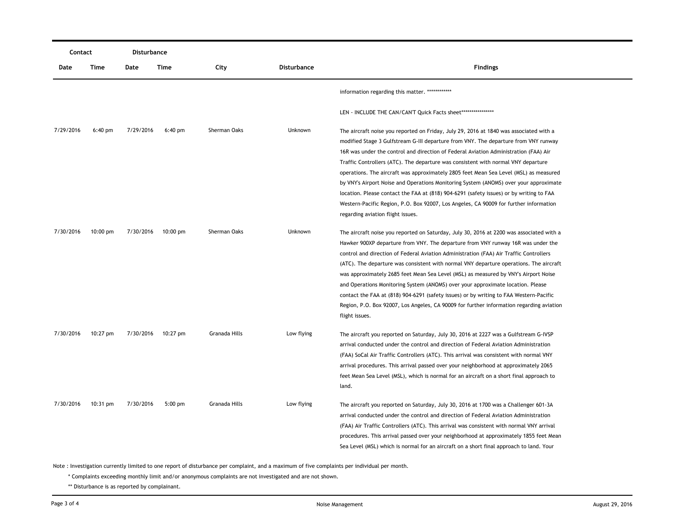|           | Contact    |           | Disturbance        |               |                    |                                                                                          |
|-----------|------------|-----------|--------------------|---------------|--------------------|------------------------------------------------------------------------------------------|
| Date      | Time       | Date      | Time               | City          | <b>Disturbance</b> | <b>Findings</b>                                                                          |
|           |            |           |                    |               |                    | information regarding this matter. *************                                         |
|           |            |           |                    |               |                    | LEN - INCLUDE THE CAN/CAN'T Quick Facts sheet ******************                         |
| 7/29/2016 | $6:40$ pm  | 7/29/2016 | $6:40$ pm          | Sherman Oaks  | Unknown            | The aircraft noise you reported on Friday, July 29, 2016 at 1840 was associated with a   |
|           |            |           |                    |               |                    | modified Stage 3 Gulfstream G-III departure from VNY. The departure from VNY runway      |
|           |            |           |                    |               |                    | 16R was under the control and direction of Federal Aviation Administration (FAA) Air     |
|           |            |           |                    |               |                    | Traffic Controllers (ATC). The departure was consistent with normal VNY departure        |
|           |            |           |                    |               |                    | operations. The aircraft was approximately 2805 feet Mean Sea Level (MSL) as measured    |
|           |            |           |                    |               |                    | by VNY's Airport Noise and Operations Monitoring System (ANOMS) over your approximate    |
|           |            |           |                    |               |                    | location. Please contact the FAA at (818) 904-6291 (safety issues) or by writing to FAA  |
|           |            |           |                    |               |                    | Western-Pacific Region, P.O. Box 92007, Los Angeles, CA 90009 for further information    |
|           |            |           |                    |               |                    | regarding aviation flight issues.                                                        |
| 7/30/2016 | $10:00$ pm | 7/30/2016 | $10:00 \text{ pm}$ | Sherman Oaks  | Unknown            | The aircraft noise you reported on Saturday, July 30, 2016 at 2200 was associated with a |
|           |            |           |                    |               |                    | Hawker 900XP departure from VNY. The departure from VNY runway 16R was under the         |
|           |            |           |                    |               |                    | control and direction of Federal Aviation Administration (FAA) Air Traffic Controllers   |
|           |            |           |                    |               |                    | (ATC). The departure was consistent with normal VNY departure operations. The aircraft   |
|           |            |           |                    |               |                    | was approximately 2685 feet Mean Sea Level (MSL) as measured by VNY's Airport Noise      |
|           |            |           |                    |               |                    | and Operations Monitoring System (ANOMS) over your approximate location. Please          |
|           |            |           |                    |               |                    | contact the FAA at (818) 904-6291 (safety issues) or by writing to FAA Western-Pacific   |
|           |            |           |                    |               |                    | Region, P.O. Box 92007, Los Angeles, CA 90009 for further information regarding aviation |
|           |            |           |                    |               |                    | flight issues.                                                                           |
| 7/30/2016 | $10:27$ pm | 7/30/2016 | 10:27 pm           | Granada Hills | Low flying         | The aircraft you reported on Saturday, July 30, 2016 at 2227 was a Gulfstream G-IVSP     |
|           |            |           |                    |               |                    | arrival conducted under the control and direction of Federal Aviation Administration     |
|           |            |           |                    |               |                    | (FAA) SoCal Air Traffic Controllers (ATC). This arrival was consistent with normal VNY   |
|           |            |           |                    |               |                    | arrival procedures. This arrival passed over your neighborhood at approximately 2065     |
|           |            |           |                    |               |                    | feet Mean Sea Level (MSL), which is normal for an aircraft on a short final approach to  |
|           |            |           |                    |               |                    | land.                                                                                    |
| 7/30/2016 | $10:31$ pm | 7/30/2016 | $5:00$ pm          | Granada Hills | Low flying         | The aircraft you reported on Saturday, July 30, 2016 at 1700 was a Challenger 601-3A     |
|           |            |           |                    |               |                    | arrival conducted under the control and direction of Federal Aviation Administration     |
|           |            |           |                    |               |                    | (FAA) Air Traffic Controllers (ATC). This arrival was consistent with normal VNY arrival |
|           |            |           |                    |               |                    | procedures. This arrival passed over your neighborhood at approximately 1855 feet Mean   |
|           |            |           |                    |               |                    | Sea Level (MSL) which is normal for an aircraft on a short final approach to land. Your  |

Note : Investigation currently limited to one report of disturbance per complaint, and a maximum of five complaints per individual per month.

\* Complaints exceeding monthly limit and/or anonymous complaints are not investigated and are not shown.